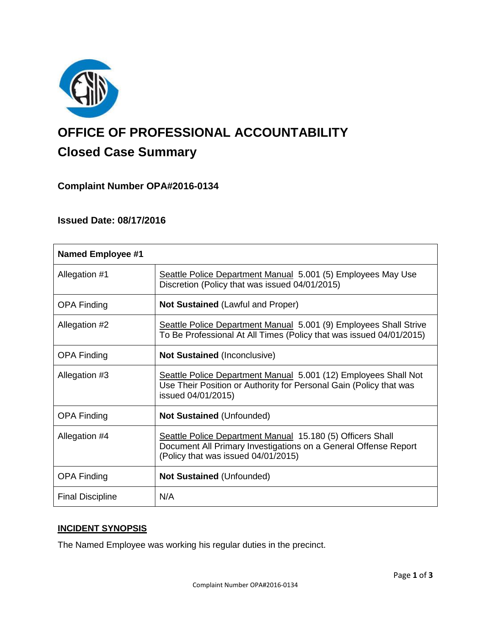

# **OFFICE OF PROFESSIONAL ACCOUNTABILITY Closed Case Summary**

# **Complaint Number OPA#2016-0134**

## **Issued Date: 08/17/2016**

| <b>Named Employee #1</b> |                                                                                                                                                                      |
|--------------------------|----------------------------------------------------------------------------------------------------------------------------------------------------------------------|
| Allegation #1            | Seattle Police Department Manual 5.001 (5) Employees May Use<br>Discretion (Policy that was issued 04/01/2015)                                                       |
| <b>OPA Finding</b>       | <b>Not Sustained (Lawful and Proper)</b>                                                                                                                             |
| Allegation #2            | Seattle Police Department Manual 5.001 (9) Employees Shall Strive<br>To Be Professional At All Times (Policy that was issued 04/01/2015)                             |
| <b>OPA Finding</b>       | <b>Not Sustained (Inconclusive)</b>                                                                                                                                  |
| Allegation #3            | Seattle Police Department Manual 5.001 (12) Employees Shall Not<br>Use Their Position or Authority for Personal Gain (Policy that was<br>issued 04/01/2015)          |
| <b>OPA Finding</b>       | <b>Not Sustained (Unfounded)</b>                                                                                                                                     |
| Allegation #4            | Seattle Police Department Manual 15.180 (5) Officers Shall<br>Document All Primary Investigations on a General Offense Report<br>(Policy that was issued 04/01/2015) |
| <b>OPA Finding</b>       | <b>Not Sustained (Unfounded)</b>                                                                                                                                     |
| <b>Final Discipline</b>  | N/A                                                                                                                                                                  |

## **INCIDENT SYNOPSIS**

The Named Employee was working his regular duties in the precinct.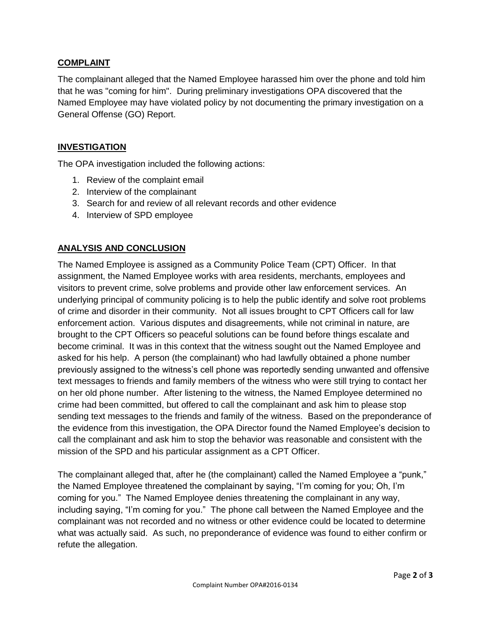## **COMPLAINT**

The complainant alleged that the Named Employee harassed him over the phone and told him that he was "coming for him". During preliminary investigations OPA discovered that the Named Employee may have violated policy by not documenting the primary investigation on a General Offense (GO) Report.

## **INVESTIGATION**

The OPA investigation included the following actions:

- 1. Review of the complaint email
- 2. Interview of the complainant
- 3. Search for and review of all relevant records and other evidence
- 4. Interview of SPD employee

# **ANALYSIS AND CONCLUSION**

The Named Employee is assigned as a Community Police Team (CPT) Officer. In that assignment, the Named Employee works with area residents, merchants, employees and visitors to prevent crime, solve problems and provide other law enforcement services. An underlying principal of community policing is to help the public identify and solve root problems of crime and disorder in their community. Not all issues brought to CPT Officers call for law enforcement action. Various disputes and disagreements, while not criminal in nature, are brought to the CPT Officers so peaceful solutions can be found before things escalate and become criminal. It was in this context that the witness sought out the Named Employee and asked for his help. A person (the complainant) who had lawfully obtained a phone number previously assigned to the witness's cell phone was reportedly sending unwanted and offensive text messages to friends and family members of the witness who were still trying to contact her on her old phone number. After listening to the witness, the Named Employee determined no crime had been committed, but offered to call the complainant and ask him to please stop sending text messages to the friends and family of the witness. Based on the preponderance of the evidence from this investigation, the OPA Director found the Named Employee's decision to call the complainant and ask him to stop the behavior was reasonable and consistent with the mission of the SPD and his particular assignment as a CPT Officer.

The complainant alleged that, after he (the complainant) called the Named Employee a "punk," the Named Employee threatened the complainant by saying, "I'm coming for you; Oh, I'm coming for you." The Named Employee denies threatening the complainant in any way, including saying, "I'm coming for you." The phone call between the Named Employee and the complainant was not recorded and no witness or other evidence could be located to determine what was actually said. As such, no preponderance of evidence was found to either confirm or refute the allegation.